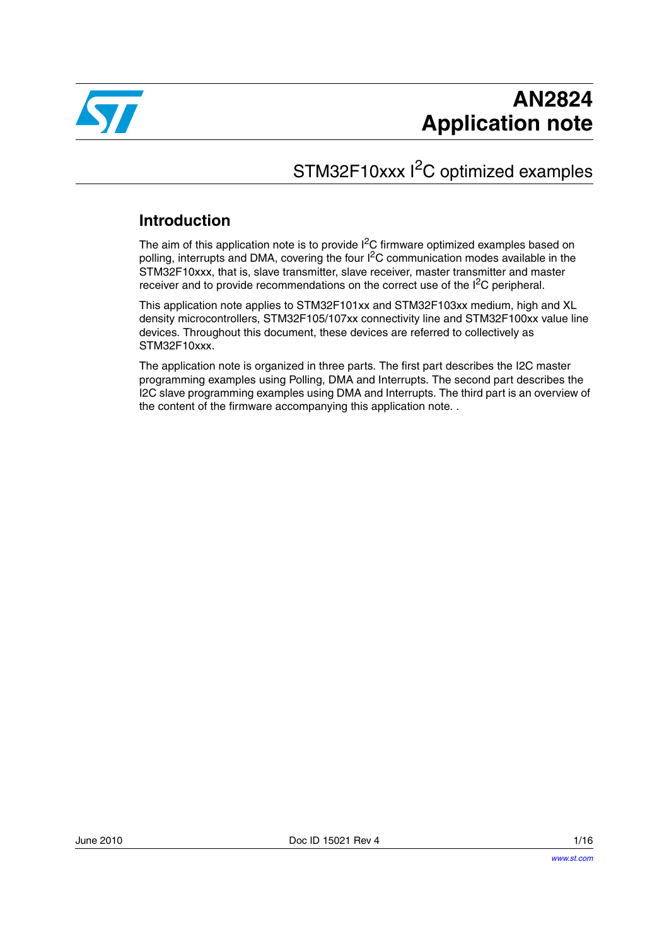

# STM32F10xxx I<sup>2</sup>C optimized examples

### **Introduction**

The aim of this application note is to provide I<sup>2</sup>C firmware optimized examples based on polling, interrupts and DMA, covering the four I2C communication modes available in the STM32F10xxx, that is, slave transmitter, slave receiver, master transmitter and master receiver and to provide recommendations on the correct use of the I<sup>2</sup>C peripheral.

This application note applies to STM32F101xx and STM32F103xx medium, high and XL density microcontrollers, STM32F105/107xx connectivity line and STM32F100xx value line devices. Throughout this document, these devices are referred to collectively as STM32F10xxx.

The application note is organized in three parts. The first part describes the I2C master programming examples using Polling, DMA and Interrupts. The second part describes the I2C slave programming examples using DMA and Interrupts. The third part is an overview of the content of the firmware accompanying this application note. .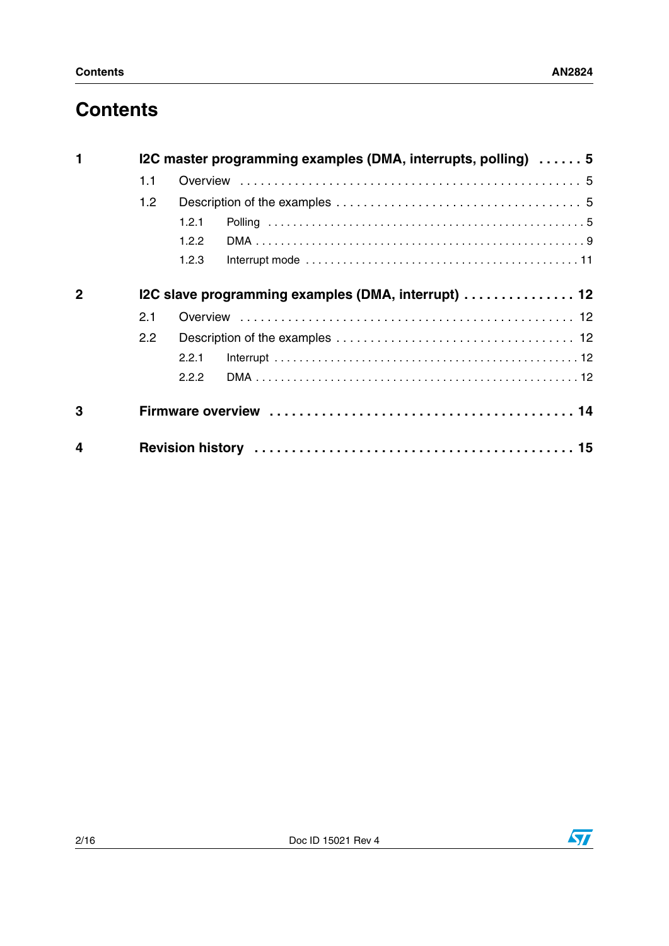# **Contents**

| 1            | I2C master programming examples (DMA, interrupts, polling)  5 |       |  |  |
|--------------|---------------------------------------------------------------|-------|--|--|
|              | 1.1                                                           |       |  |  |
|              | 1.2                                                           |       |  |  |
|              |                                                               | 1.2.1 |  |  |
|              |                                                               | 1.2.2 |  |  |
|              |                                                               | 1.2.3 |  |  |
| $\mathbf{2}$ | I2C slave programming examples (DMA, interrupt)  12           |       |  |  |
|              | 2.1                                                           |       |  |  |
|              | $2.2^{\circ}$                                                 |       |  |  |
|              |                                                               | 2.2.1 |  |  |
|              |                                                               | 2.2.2 |  |  |
| 3            |                                                               |       |  |  |
| 4            |                                                               |       |  |  |

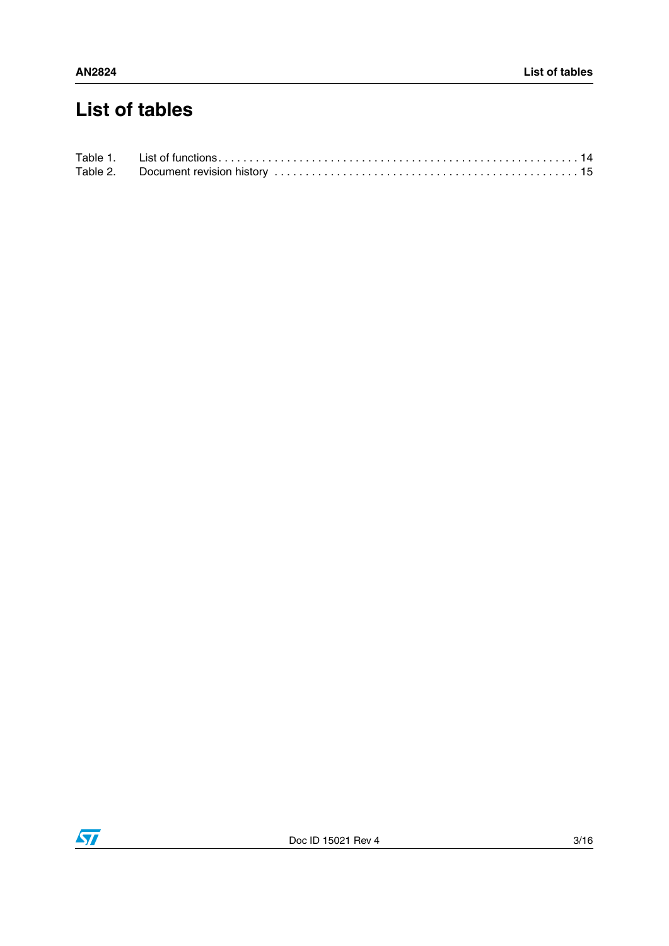# **List of tables**

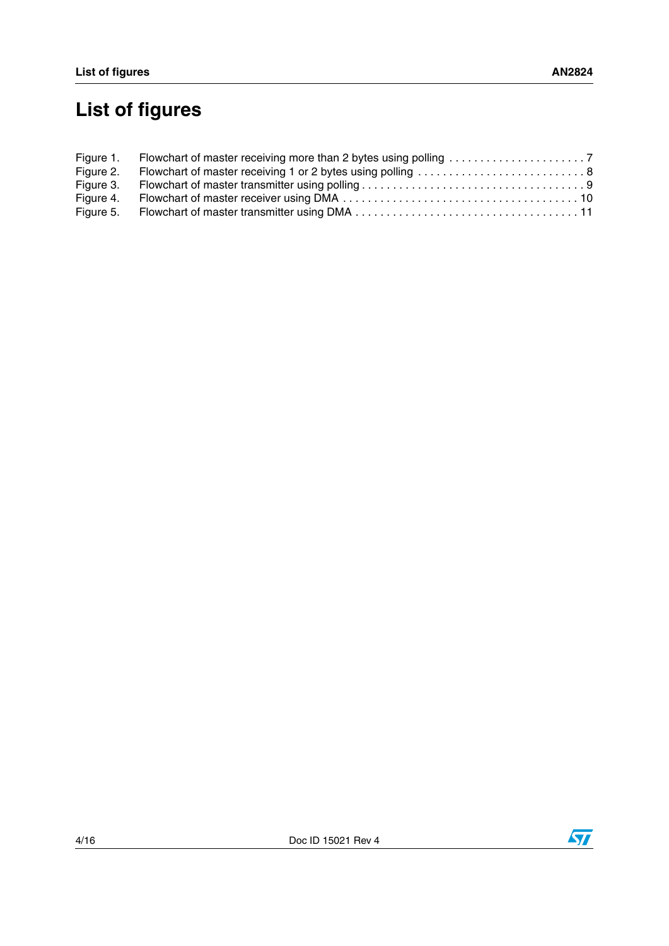# **List of figures**

| Figure 2. | Flowchart of master receiving 1 or 2 bytes using polling  8 |  |
|-----------|-------------------------------------------------------------|--|
|           |                                                             |  |
|           |                                                             |  |
|           |                                                             |  |



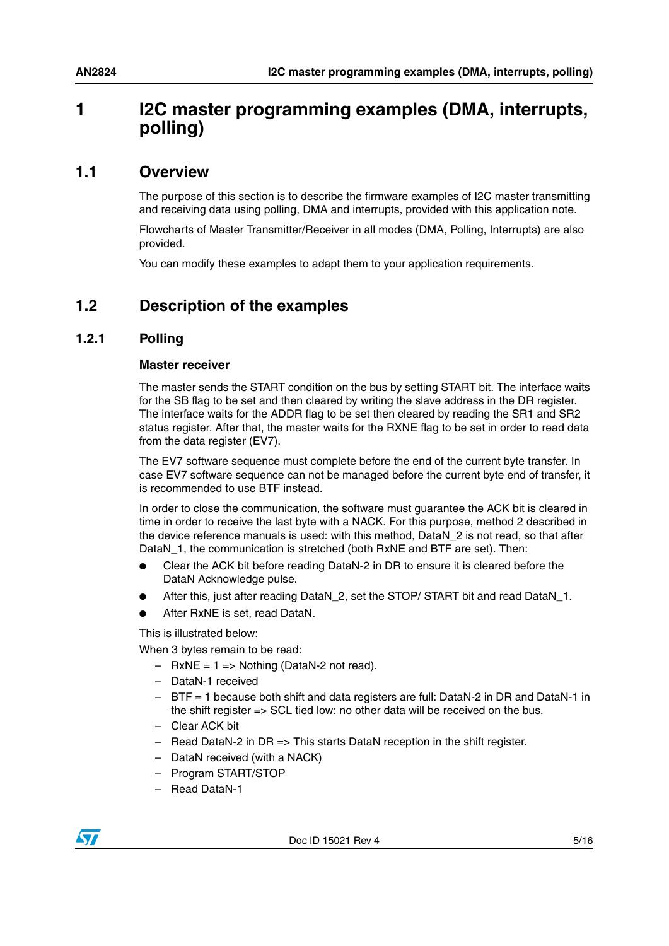## <span id="page-4-0"></span>**1 I2C master programming examples (DMA, interrupts, polling)**

### <span id="page-4-1"></span>**1.1 Overview**

The purpose of this section is to describe the firmware examples of I2C master transmitting and receiving data using polling, DMA and interrupts, provided with this application note.

Flowcharts of Master Transmitter/Receiver in all modes (DMA, Polling, Interrupts) are also provided.

You can modify these examples to adapt them to your application requirements.

### <span id="page-4-2"></span>**1.2 Description of the examples**

#### <span id="page-4-3"></span>**1.2.1 Polling**

#### **Master receiver**

The master sends the START condition on the bus by setting START bit. The interface waits for the SB flag to be set and then cleared by writing the slave address in the DR register. The interface waits for the ADDR flag to be set then cleared by reading the SR1 and SR2 status register. After that, the master waits for the RXNE flag to be set in order to read data from the data register (EV7).

The EV7 software sequence must complete before the end of the current byte transfer. In case EV7 software sequence can not be managed before the current byte end of transfer, it is recommended to use BTF instead.

In order to close the communication, the software must guarantee the ACK bit is cleared in time in order to receive the last byte with a NACK. For this purpose, method 2 described in the device reference manuals is used: with this method, DataN\_2 is not read, so that after DataN 1, the communication is stretched (both RxNE and BTF are set). Then:

- Clear the ACK bit before reading DataN-2 in DR to ensure it is cleared before the DataN Acknowledge pulse.
- After this, just after reading DataN 2, set the STOP/ START bit and read DataN 1.
- After RxNE is set, read DataN.

This is illustrated below:

When 3 bytes remain to be read:

- $-$  RxNE = 1 = > Nothing (DataN-2 not read).
- DataN-1 received
- BTF = 1 because both shift and data registers are full: DataN-2 in DR and DataN-1 in the shift register => SCL tied low: no other data will be received on the bus.
- Clear ACK bit
- Read DataN-2 in DR => This starts DataN reception in the shift register.
- DataN received (with a NACK)
- Program START/STOP
- Read DataN-1

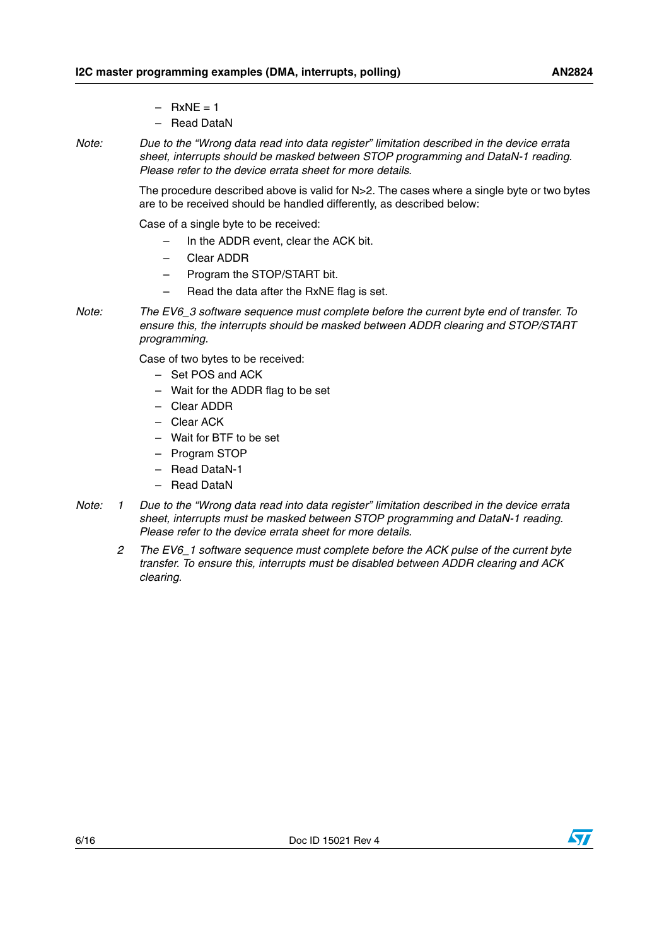- $-$  RxNE = 1
- Read DataN
- *Note: Due to the "Wrong data read into data register" limitation described in the device errata sheet, interrupts should be masked between STOP programming and DataN-1 reading. Please refer to the device errata sheet for more details.*

The procedure described above is valid for N>2. The cases where a single byte or two bytes are to be received should be handled differently, as described below:

Case of a single byte to be received:

- In the ADDR event, clear the ACK bit.
- Clear ADDR
- Program the STOP/START bit.
- Read the data after the RxNE flag is set.
- *Note: The EV6\_3 software sequence must complete before the current byte end of transfer. To ensure this, the interrupts should be masked between ADDR clearing and STOP/START programming.*

Case of two bytes to be received:

- Set POS and ACK
- Wait for the ADDR flag to be set
- Clear ADDR
- Clear ACK
- Wait for BTF to be set
- Program STOP
- Read DataN-1
- Read DataN
- *Note: 1 Due to the "Wrong data read into data register" limitation described in the device errata sheet, interrupts must be masked between STOP programming and DataN-1 reading. Please refer to the device errata sheet for more details.*
	- *2 The EV6\_1 software sequence must complete before the ACK pulse of the current byte transfer. To ensure this, interrupts must be disabled between ADDR clearing and ACK clearing.*



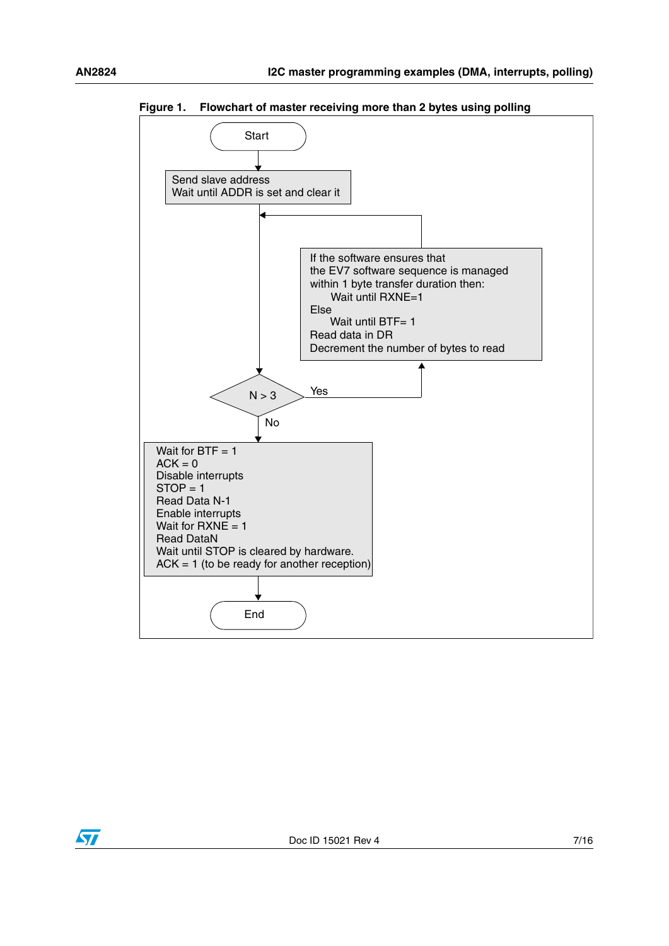

<span id="page-6-0"></span>**Figure 1. Flowchart of master receiving more than 2 bytes using polling** 

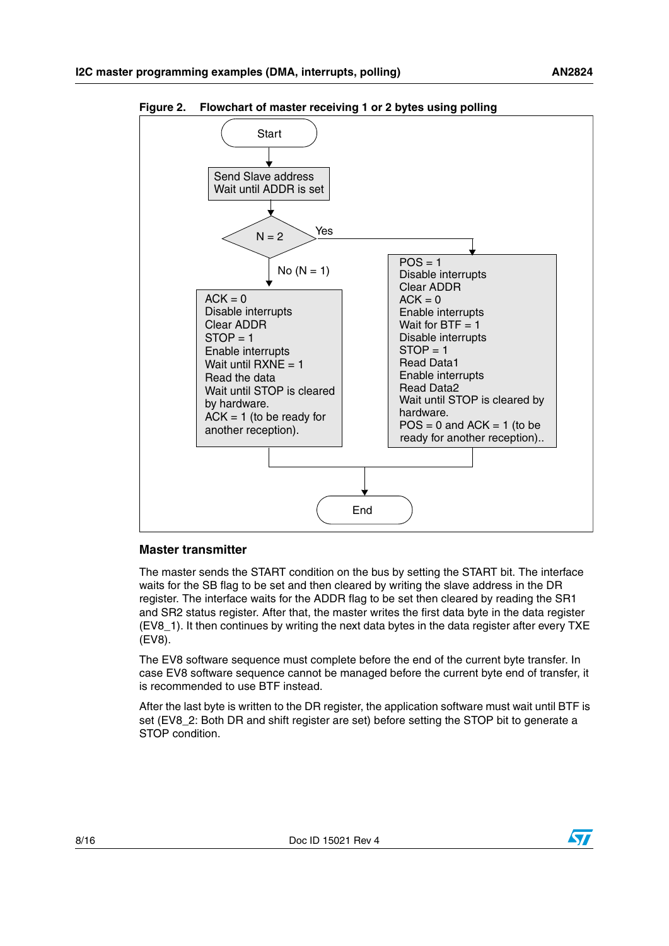

<span id="page-7-0"></span>**Figure 2. Flowchart of master receiving 1 or 2 bytes using polling** 

#### **Master transmitter**

The master sends the START condition on the bus by setting the START bit. The interface waits for the SB flag to be set and then cleared by writing the slave address in the DR register. The interface waits for the ADDR flag to be set then cleared by reading the SR1 and SR2 status register. After that, the master writes the first data byte in the data register (EV8\_1). It then continues by writing the next data bytes in the data register after every TXE (EV8).

The EV8 software sequence must complete before the end of the current byte transfer. In case EV8 software sequence cannot be managed before the current byte end of transfer, it is recommended to use BTF instead.

After the last byte is written to the DR register, the application software must wait until BTF is set (EV8\_2: Both DR and shift register are set) before setting the STOP bit to generate a STOP condition.

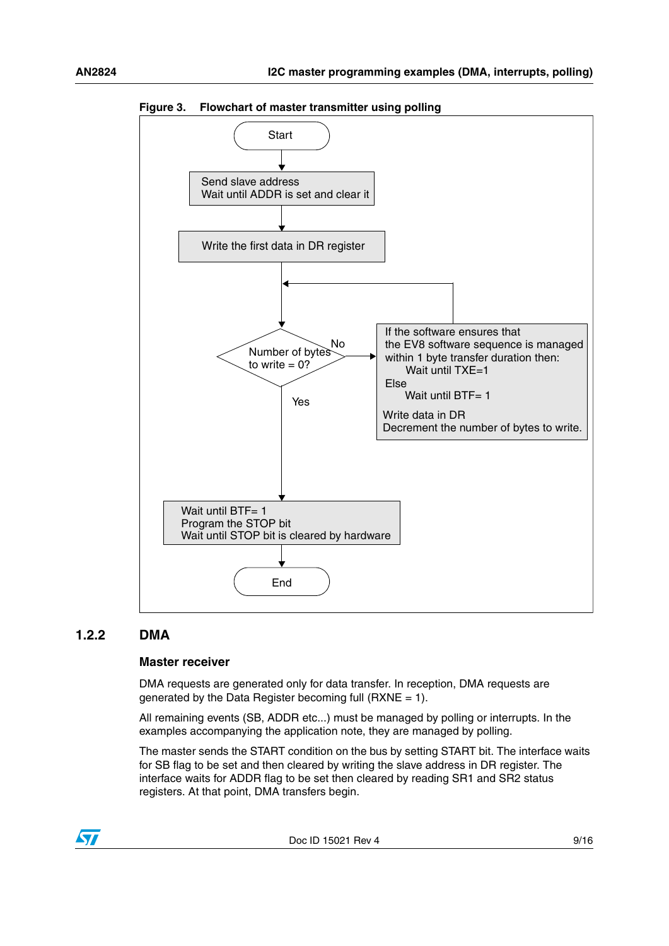

<span id="page-8-1"></span>**Figure 3. Flowchart of master transmitter using polling**

#### <span id="page-8-0"></span>**1.2.2 DMA**

#### **Master receiver**

DMA requests are generated only for data transfer. In reception, DMA requests are generated by the Data Register becoming full (RXNE = 1).

All remaining events (SB, ADDR etc...) must be managed by polling or interrupts. In the examples accompanying the application note, they are managed by polling.

The master sends the START condition on the bus by setting START bit. The interface waits for SB flag to be set and then cleared by writing the slave address in DR register. The interface waits for ADDR flag to be set then cleared by reading SR1 and SR2 status registers. At that point, DMA transfers begin.



Doc ID 15021 Rev 4 9/16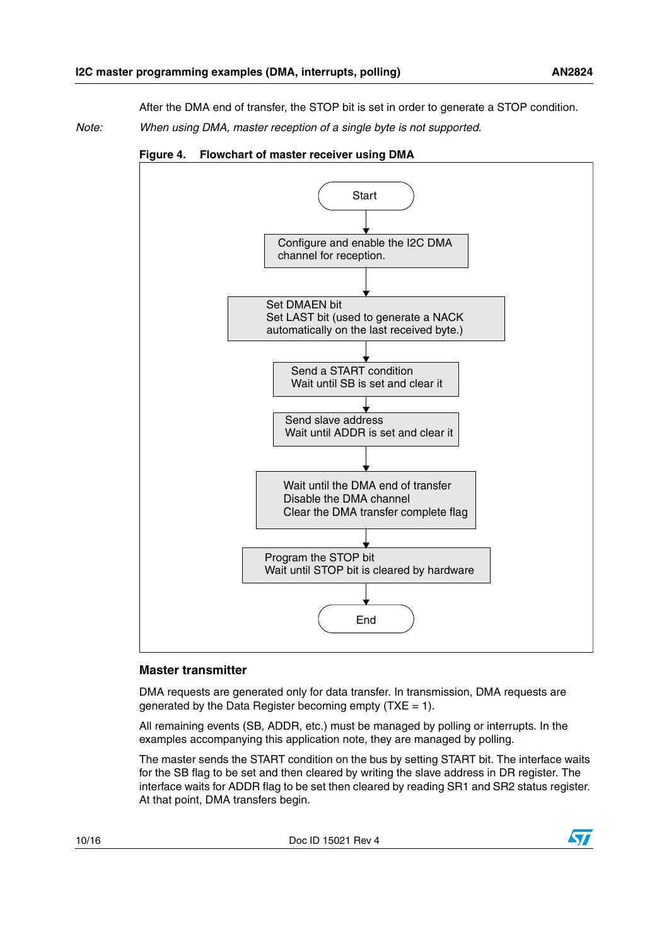After the DMA end of transfer, the STOP bit is set in order to generate a STOP condition.

*Note: When using DMA, master reception of a single byte is not supported.*



<span id="page-9-0"></span>**Figure 4. Flowchart of master receiver using DMA**

#### **Master transmitter**

DMA requests are generated only for data transfer. In transmission, DMA requests are generated by the Data Register becoming empty ( $TXE = 1$ ).

All remaining events (SB, ADDR, etc.) must be managed by polling or interrupts. In the examples accompanying this application note, they are managed by polling.

The master sends the START condition on the bus by setting START bit. The interface waits for the SB flag to be set and then cleared by writing the slave address in DR register. The interface waits for ADDR flag to be set then cleared by reading SR1 and SR2 status register. At that point, DMA transfers begin.

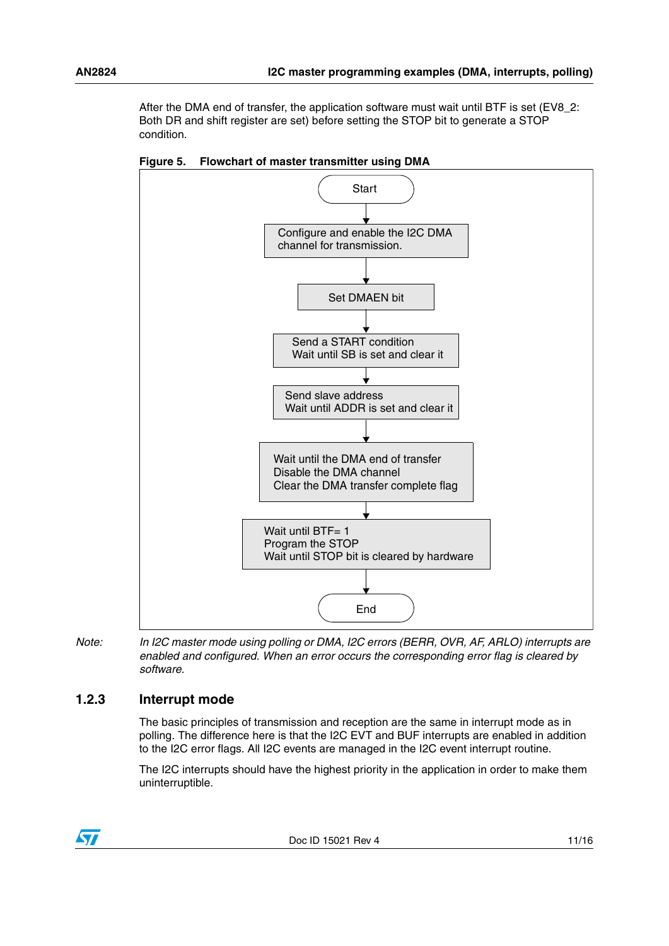After the DMA end of transfer, the application software must wait until BTF is set (EV8\_2: Both DR and shift register are set) before setting the STOP bit to generate a STOP condition.



<span id="page-10-1"></span>**Figure 5. Flowchart of master transmitter using DMA**

*Note: In I2C master mode using polling or DMA, I2C errors (BERR, OVR, AF, ARLO) interrupts are enabled and configured. When an error occurs the corresponding error flag is cleared by software.*

### <span id="page-10-0"></span>**1.2.3 Interrupt mode**

The basic principles of transmission and reception are the same in interrupt mode as in polling. The difference here is that the I2C EVT and BUF interrupts are enabled in addition to the I2C error flags. All I2C events are managed in the I2C event interrupt routine.

The I2C interrupts should have the highest priority in the application in order to make them uninterruptible.

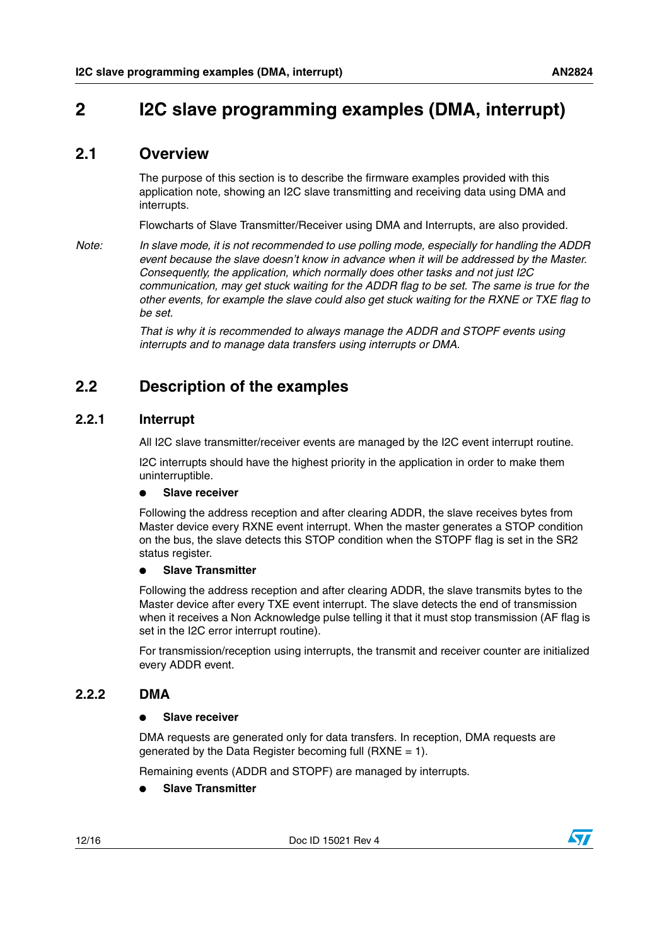## <span id="page-11-0"></span>**2 I2C slave programming examples (DMA, interrupt)**

### <span id="page-11-1"></span>**2.1 Overview**

The purpose of this section is to describe the firmware examples provided with this application note, showing an I2C slave transmitting and receiving data using DMA and interrupts.

Flowcharts of Slave Transmitter/Receiver using DMA and Interrupts, are also provided.

*Note: In slave mode, it is not recommended to use polling mode, especially for handling the ADDR event because the slave doesn't know in advance when it will be addressed by the Master. Consequently, the application, which normally does other tasks and not just I2C communication, may get stuck waiting for the ADDR flag to be set. The same is true for the other events, for example the slave could also get stuck waiting for the RXNE or TXE flag to be set.*

> *That is why it is recommended to always manage the ADDR and STOPF events using interrupts and to manage data transfers using interrupts or DMA.*

### <span id="page-11-2"></span>**2.2 Description of the examples**

### <span id="page-11-3"></span>**2.2.1 Interrupt**

All I2C slave transmitter/receiver events are managed by the I2C event interrupt routine.

I2C interrupts should have the highest priority in the application in order to make them uninterruptible.

#### **Slave receiver**

Following the address reception and after clearing ADDR, the slave receives bytes from Master device every RXNE event interrupt. When the master generates a STOP condition on the bus, the slave detects this STOP condition when the STOPF flag is set in the SR2 status register.

#### ● **Slave Transmitter**

Following the address reception and after clearing ADDR, the slave transmits bytes to the Master device after every TXE event interrupt. The slave detects the end of transmission when it receives a Non Acknowledge pulse telling it that it must stop transmission (AF flag is set in the I2C error interrupt routine).

For transmission/reception using interrupts, the transmit and receiver counter are initialized every ADDR event.

#### <span id="page-11-4"></span>**2.2.2 DMA**

#### ● **Slave receiver**

DMA requests are generated only for data transfers. In reception, DMA requests are generated by the Data Register becoming full (RXNE = 1).

Remaining events (ADDR and STOPF) are managed by interrupts.

● **Slave Transmitter**

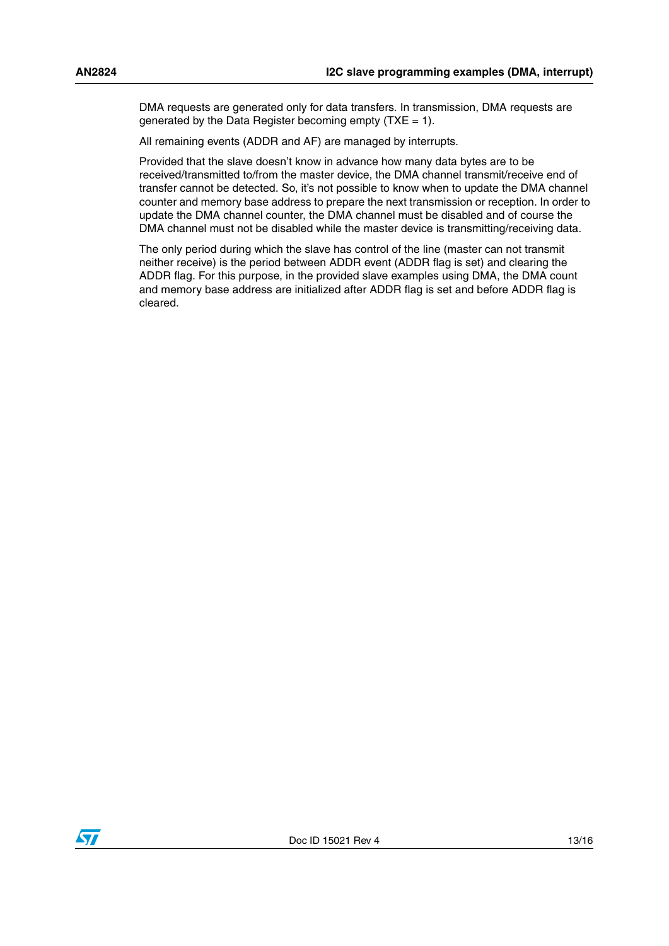DMA requests are generated only for data transfers. In transmission, DMA requests are generated by the Data Register becoming empty ( $TXE = 1$ ).

All remaining events (ADDR and AF) are managed by interrupts.

Provided that the slave doesn't know in advance how many data bytes are to be received/transmitted to/from the master device, the DMA channel transmit/receive end of transfer cannot be detected. So, it's not possible to know when to update the DMA channel counter and memory base address to prepare the next transmission or reception. In order to update the DMA channel counter, the DMA channel must be disabled and of course the DMA channel must not be disabled while the master device is transmitting/receiving data.

The only period during which the slave has control of the line (master can not transmit neither receive) is the period between ADDR event (ADDR flag is set) and clearing the ADDR flag. For this purpose, in the provided slave examples using DMA, the DMA count and memory base address are initialized after ADDR flag is set and before ADDR flag is cleared.

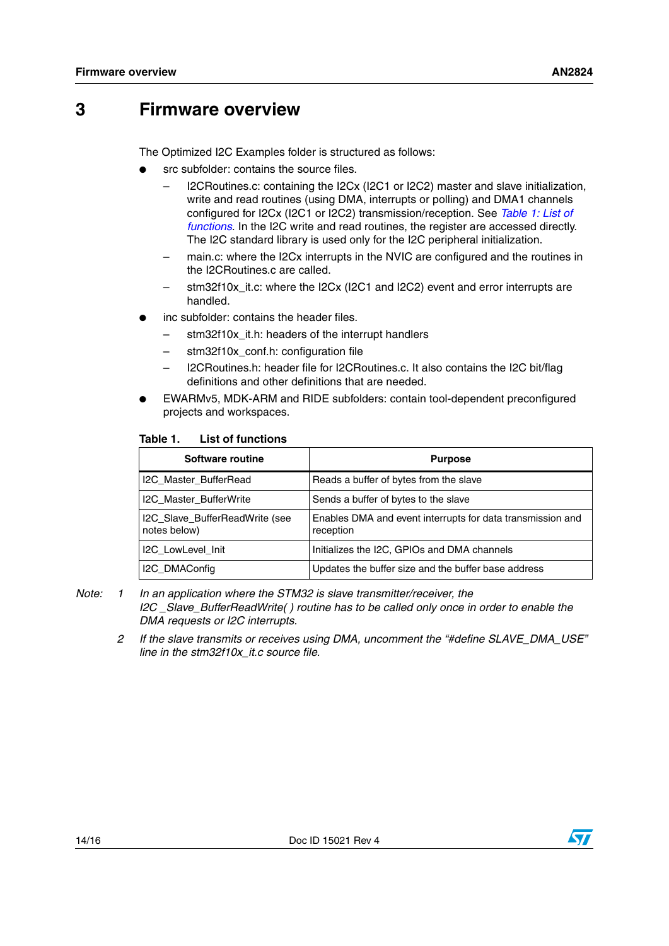### <span id="page-13-0"></span>**3 Firmware overview**

The Optimized I2C Examples folder is structured as follows:

- src subfolder: contains the source files.
	- I2CRoutines.c: containing the I2Cx (I2C1 or I2C2) master and slave initialization, write and read routines (using DMA, interrupts or polling) and DMA1 channels configured for I2Cx (I2C1 or I2C2) transmission/reception. See *[Table 1: List of](#page-13-1)  [functions](#page-13-1)*. In the I2C write and read routines, the register are accessed directly. The I2C standard library is used only for the I2C peripheral initialization.
	- main.c: where the I2Cx interrupts in the NVIC are configured and the routines in the I2CRoutines.c are called.
	- stm32f10x\_it.c: where the I2Cx (I2C1 and I2C2) event and error interrupts are handled.
- inc subfolder: contains the header files.
	- stm32f10x\_it.h: headers of the interrupt handlers
	- stm32f10x\_conf.h: configuration file
	- I2CRoutines.h: header file for I2CRoutines.c. It also contains the I2C bit/flag definitions and other definitions that are needed.
- EWARMv5, MDK-ARM and RIDE subfolders: contain tool-dependent preconfigured projects and workspaces.

#### <span id="page-13-1"></span>Table 1. **List of functions**

| Software routine                               | <b>Purpose</b>                                                          |
|------------------------------------------------|-------------------------------------------------------------------------|
| I2C_Master_BufferRead                          | Reads a buffer of bytes from the slave                                  |
| I2C_Master_BufferWrite                         | Sends a buffer of bytes to the slave                                    |
| I2C_Slave_BufferReadWrite (see<br>notes below) | Enables DMA and event interrupts for data transmission and<br>reception |
| <b>I2C LowLevel Init</b>                       | Initializes the I2C, GPIOs and DMA channels                             |
| I2C_DMAConfig                                  | Updates the buffer size and the buffer base address                     |

- *Note: 1 In an application where the STM32 is slave transmitter/receiver, the I2C \_Slave\_BufferReadWrite( ) routine has to be called only once in order to enable the DMA requests or I2C interrupts.* 
	- *2 If the slave transmits or receives using DMA, uncomment the "#define SLAVE\_DMA\_USE" line in the stm32f10x\_it.c source file.*

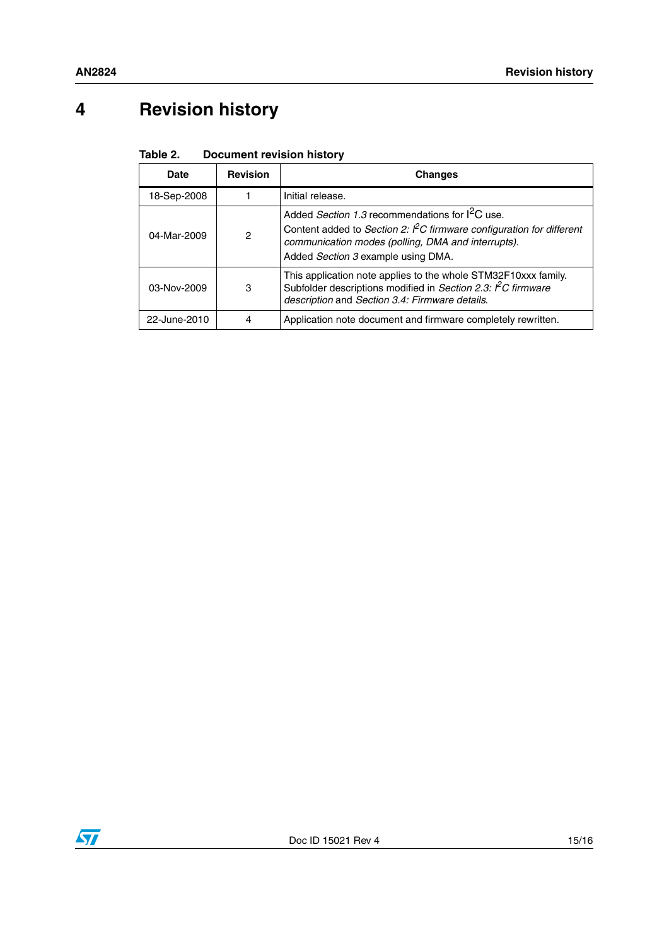# <span id="page-14-0"></span>**4 Revision history**

<span id="page-14-1"></span>

| Table 2. | <b>Document revision history</b> |  |  |
|----------|----------------------------------|--|--|
|----------|----------------------------------|--|--|

| Date         | <b>Revision</b> | <b>Changes</b>                                                                                                                                                                                                                   |
|--------------|-----------------|----------------------------------------------------------------------------------------------------------------------------------------------------------------------------------------------------------------------------------|
| 18-Sep-2008  |                 | Initial release.                                                                                                                                                                                                                 |
| 04-Mar-2009  | 2               | Added Section 1.3 recommendations for $I^2C$ use.<br>Content added to Section 2: ${}^{\circ}$ C firmware configuration for different<br>communication modes (polling, DMA and interrupts).<br>Added Section 3 example using DMA. |
| 03-Nov-2009  | 3               | This application note applies to the whole STM32F10xxx family.<br>Subfolder descriptions modified in Section 2.3: $\degree$ C firmware<br>description and Section 3.4: Firmware details.                                         |
| 22-June-2010 | 4               | Application note document and firmware completely rewritten.                                                                                                                                                                     |